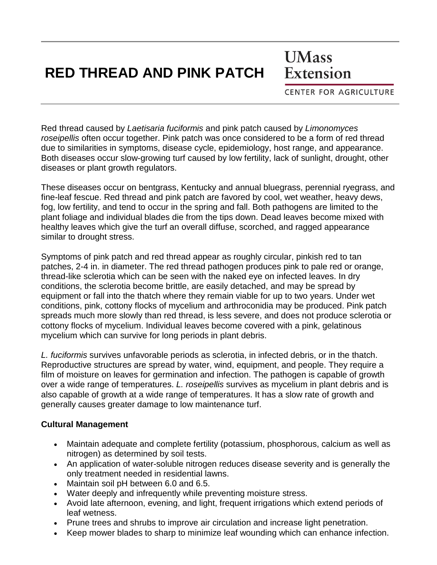## **RED THREAD AND PINK PATCH**

**UMass** Extension

**CENTER FOR AGRICULTURE** 

Red thread caused by *Laetisaria fuciformis* and pink patch caused by *Limonomyces roseipellis* often occur together. Pink patch was once considered to be a form of red thread due to similarities in symptoms, disease cycle, epidemiology, host range, and appearance. Both diseases occur slow-growing turf caused by low fertility, lack of sunlight, drought, other diseases or plant growth regulators.

These diseases occur on bentgrass, Kentucky and annual bluegrass, perennial ryegrass, and fine-leaf fescue. Red thread and pink patch are favored by cool, wet weather, heavy dews, fog, low fertility, and tend to occur in the spring and fall. Both pathogens are limited to the plant foliage and individual blades die from the tips down. Dead leaves become mixed with healthy leaves which give the turf an overall diffuse, scorched, and ragged appearance similar to drought stress.

Symptoms of pink patch and red thread appear as roughly circular, pinkish red to tan patches, 2-4 in. in diameter. The red thread pathogen produces pink to pale red or orange, thread-like sclerotia which can be seen with the naked eye on infected leaves. In dry conditions, the sclerotia become brittle, are easily detached, and may be spread by equipment or fall into the thatch where they remain viable for up to two years. Under wet conditions, pink, cottony flocks of mycelium and arthroconidia may be produced. Pink patch spreads much more slowly than red thread, is less severe, and does not produce sclerotia or cottony flocks of mycelium. Individual leaves become covered with a pink, gelatinous mycelium which can survive for long periods in plant debris.

*L. fuciformis* survives unfavorable periods as sclerotia, in infected debris, or in the thatch. Reproductive structures are spread by water, wind, equipment, and people. They require a film of moisture on leaves for germination and infection. The pathogen is capable of growth over a wide range of temperatures. *L. roseipellis* survives as mycelium in plant debris and is also capable of growth at a wide range of temperatures. It has a slow rate of growth and generally causes greater damage to low maintenance turf.

## **Cultural Management**

- Maintain adequate and complete fertility (potassium, phosphorous, calcium as well as nitrogen) as determined by soil tests.
- An application of water-soluble nitrogen reduces disease severity and is generally the only treatment needed in residential lawns.
- Maintain soil pH between 6.0 and 6.5.
- Water deeply and infrequently while preventing moisture stress.
- Avoid late afternoon, evening, and light, frequent irrigations which extend periods of leaf wetness.
- Prune trees and shrubs to improve air circulation and increase light penetration.
- Keep mower blades to sharp to minimize leaf wounding which can enhance infection.